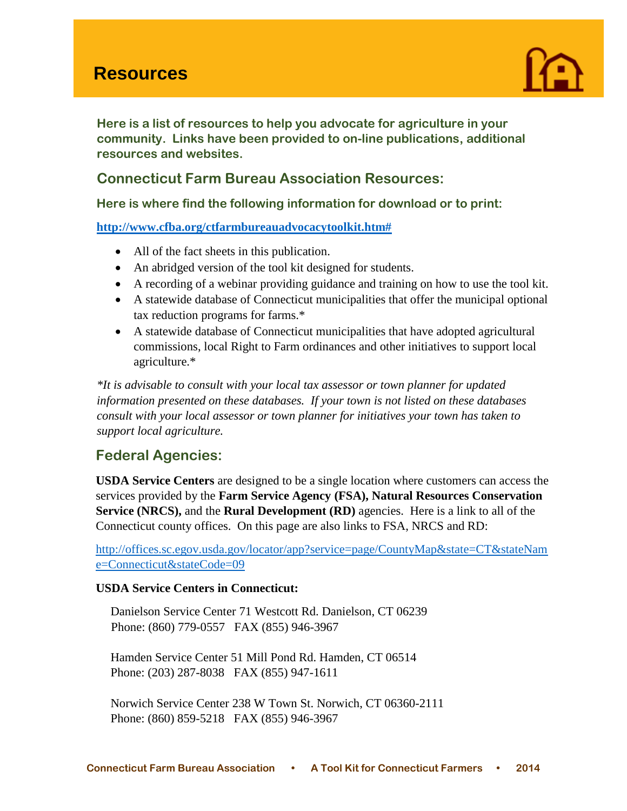# **Resources**



**Here is a list of resources to help you advocate for agriculture in your community. Links have been provided to on-line publications, additional resources and websites.** 

# **Connecticut Farm Bureau Association Resources:**

**Here is where find the following information for download or to print:**

**[http://www.cfba.org/ctfarmbureauadvocacytoolkit.htm#](http://www.cfba.org/ctfarmbureauadvocacytoolkit.htm)** 

- All of the fact sheets in this publication.
- An abridged version of the tool kit designed for students.
- A recording of a webinar providing guidance and training on how to use the tool kit.
- A statewide database of Connecticut municipalities that offer the municipal optional tax reduction programs for farms.\*
- A statewide database of Connecticut municipalities that have adopted agricultural commissions, local Right to Farm ordinances and other initiatives to support local agriculture.\*

*\*It is advisable to consult with your local tax assessor or town planner for updated information presented on these databases. If your town is not listed on these databases consult with your local assessor or town planner for initiatives your town has taken to support local agriculture.* 

# **Federal Agencies:**

**USDA Service Centers** are designed to be a single location where customers can access the services provided by the **Farm Service Agency (FSA), Natural Resources Conservation Service (NRCS),** and the **Rural Development (RD)** agencies. Here is a link to all of the Connecticut county offices. On this page are also links to FSA, NRCS and RD:

[http://offices.sc.egov.usda.gov/locator/app?service=page/CountyMap&state=CT&stateNam](http://offices.sc.egov.usda.gov/locator/app?service=page/CountyMap&state=CT&stateName=Connecticut&stateCode=09) [e=Connecticut&stateCode=09](http://offices.sc.egov.usda.gov/locator/app?service=page/CountyMap&state=CT&stateName=Connecticut&stateCode=09)

## **USDA Service Centers in Connecticut:**

Danielson Service Center 71 Westcott Rd. Danielson, CT 06239 Phone: (860) 779-0557 FAX (855) 946-3967

Hamden Service Center 51 Mill Pond Rd. Hamden, CT 06514 Phone: (203) 287-8038 FAX (855) 947-1611

Norwich Service Center 238 W Town St. Norwich, CT 06360-2111 Phone: (860) 859-5218 FAX (855) 946-3967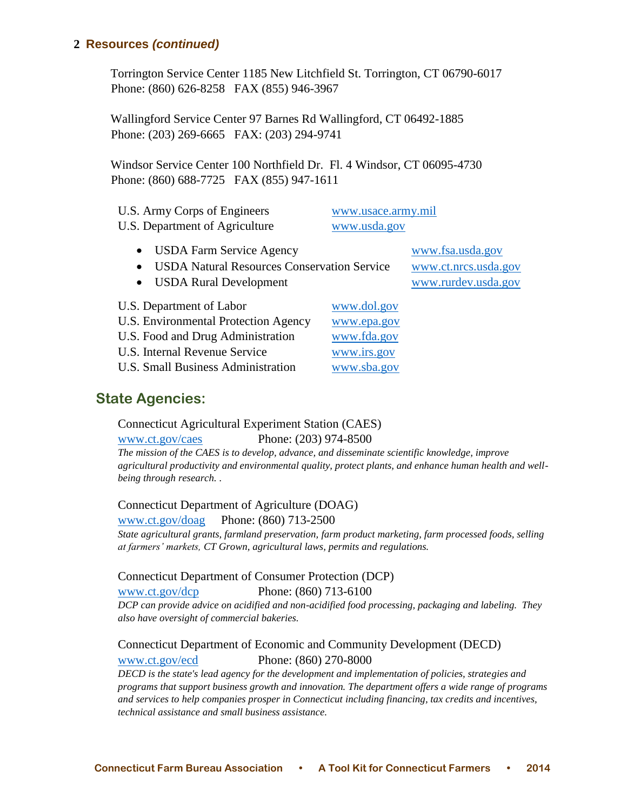Torrington Service Center 1185 New Litchfield St. Torrington, CT 06790-6017 Phone: (860) 626-8258 FAX (855) 946-3967

Wallingford Service Center 97 Barnes Rd Wallingford, CT 06492-1885 Phone: (203) 269-6665 FAX: (203) 294-9741

Windsor Service Center 100 Northfield Dr. Fl. 4 Windsor, CT 06095-4730 Phone: (860) 688-7725 FAX (855) 947-1611

| U.S. Army Corps of Engineers   | www.usace.army.mil |
|--------------------------------|--------------------|
| U.S. Department of Agriculture | www.usda.gov       |

USDA Farm Service Agency [www.fsa.usda.gov](http://www.fsa.usda.gov/)

USDA Natural Resources Conservation Service [www.ct.nrcs.usda.gov](http://www.ct.nrcs.usda.gov/)

- USDA Rural Development [www.rurdev.usda.gov](http://www.rurdev.usda.gov/)
- U.S. Department of Labor [www.dol.gov](http://www.dol.gov/)
- U.S. Environmental Protection Agency [www.epa.gov](http://www.epa.gov/)
- U.S. Food and Drug Administration [www.fda.gov](http://www.fda.gov/)
- U.S. Internal Revenue Service [www.irs.gov](http://www.irs.gov/)
- U.S. Small Business Administration [www.sba.gov](http://www.sba.gov/)

# **State Agencies:**

## Connecticut Agricultural Experiment Station (CAES)

[www.ct.gov/caes](http://www.ct.gov/caes) Phone: (203) 974-8500

*The mission of the CAES is to develop, advance, and disseminate scientific knowledge, improve agricultural productivity and environmental quality, protect plants, and enhance human health and wellbeing through research. .*

## Connecticut Department of Agriculture (DOAG)

[www.ct.gov/doag](http://www.ct.gov/doag) Phone: (860) 713-2500

*State agricultural grants, farmland preservation, farm product marketing, farm processed foods, selling at farmers' markets, CT Grown, agricultural laws, permits and regulations.*

## Connecticut Department of Consumer Protection (DCP)

[www.ct.gov/dcp](http://www.ct.gov/dcp) Phone: (860) 713-6100 *DCP can provide advice on acidified and non-acidified food processing, packaging and labeling. They also have oversight of commercial bakeries.*

# Connecticut Department of Economic and Community Development (DECD) [www.ct.gov/ecd](http://www.ct.gov/ecd) Phone: (860) 270-8000

*DECD is the state's lead agency for the development and implementation of policies, strategies and programs that support business growth and innovation. The department offers a wide range of programs and services to help companies prosper in Connecticut including financing, tax credits and incentives, technical assistance and small business assistance.*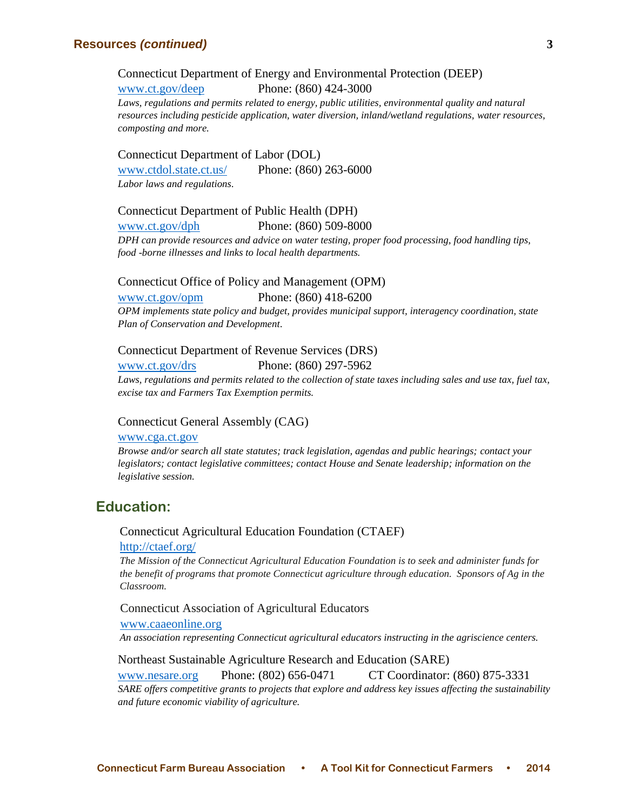Connecticut Department of Energy and Environmental Protection (DEEP)

[www.ct.gov/deep](http://www.ct.gov/deep) Phone: (860) 424-3000 *Laws, regulations and permits related to energy, public utilities, environmental quality and natural resources including pesticide application, water diversion, inland/wetland regulations, water resources, composting and more.*

Connecticut Department of Labor (DOL) [www.ctdol.state.ct.us/](http://www.ctdol.state.ct.us/) Phone: (860) 263-6000 *Labor laws and regulations.*

Connecticut Department of Public Health (DPH) [www.ct.gov/dph](http://www.ct.gov/dph) Phone: (860) 509-8000

*DPH can provide resources and advice on water testing, proper food processing, food handling tips, food -borne illnesses and links to local health departments.*

#### Connecticut Office of Policy and Management (OPM)

[www.ct.gov/opm](http://www.ct.gov/opm) Phone: (860) 418-6200

*OPM implements state policy and budget, provides municipal support, interagency coordination, state Plan of Conservation and Development.*

#### Connecticut Department of Revenue Services (DRS)

[www.ct.gov/drs](http://www.ct.gov/drs) Phone: (860) 297-5962

Laws, regulations and permits related to the collection of state taxes including sales and use tax, fuel tax, *excise tax and Farmers Tax Exemption permits.*

#### Connecticut General Assembly (CAG)

#### [www.cga.ct.gov](http://www.cga.ct.gov/)

*Browse and/or search all state statutes; track legislation, agendas and public hearings; contact your legislators; contact legislative committees; contact House and Senate leadership; information on the legislative session.*

# **Education:**

Connecticut Agricultural Education Foundation (CTAEF) <http://ctaef.org/>

*The Mission of the Connecticut Agricultural Education Foundation is to seek and administer funds for the benefit of programs that promote Connecticut agriculture through education. Sponsors of Ag in the Classroom.*

Connecticut Association of Agricultural Educators

[www.caaeonline.org](http://www.caaeonline.org/)

*An association representing Connecticut agricultural educators instructing in the agriscience centers.*

#### Northeast Sustainable Agriculture Research and Education (SARE)

[www.nesare.org](http://www.nesare.org/) Phone: (802) 656-0471 CT Coordinator: (860) 875-3331

*SARE offers competitive grants to projects that explore and address key issues affecting the sustainability and future economic viability of agriculture.*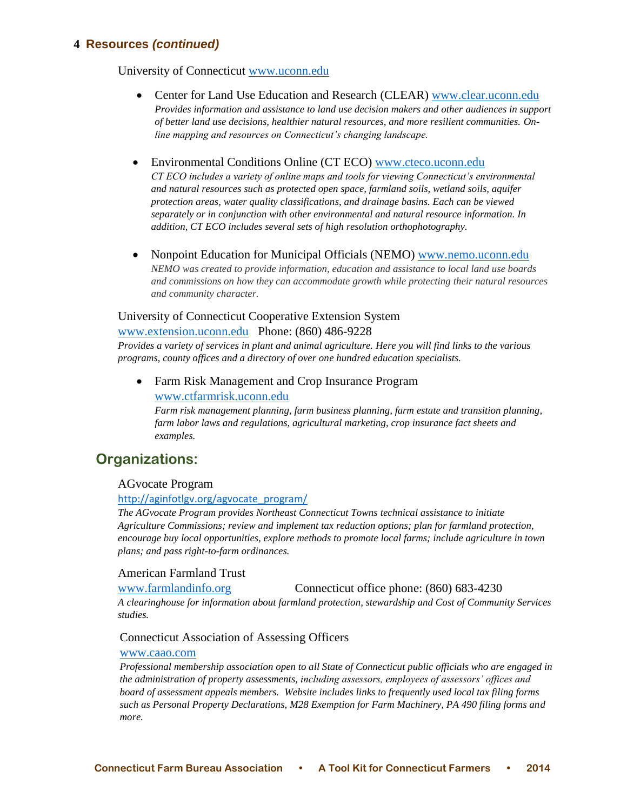University of Connecticut [www.uconn.edu](http://www.uconn.edu/)

- Center for Land Use Education and Research (CLEAR) [www.clear.uconn.edu](http://www.clear.uconn.edu/) *Provides information and assistance to land use decision makers and other audiences in support of better land use decisions, healthier natural resources, and more resilient communities. Online mapping and resources on Connecticut's changing landscape.*
- Environmental Conditions Online (CT ECO) [www.cteco.uconn.edu](http://www.cteco.uconn.edu/) *CT ECO includes a variety of online maps and tools for viewing Connecticut's environmental and natural resources such as protected open space, farmland soils, wetland soils, aquifer protection areas, water quality classifications, and drainage basins. Each can be viewed separately or in conjunction with other environmental and natural resource information. In addition, CT ECO includes several sets of high resolution orthophotography.*
- Nonpoint Education for Municipal Officials (NEMO) [www.nemo.uconn.edu](http://www.nemo.uconn.edu/) *NEMO was created to provide information, education and assistance to local land use boards and commissions on how they can accommodate growth while protecting their natural resources and community character.*

### University of Connecticut Cooperative Extension System

[www.extension.uconn.edu](http://www.extension.uconn.edu/) Phone: (860) 486-9228

*Provides a variety of services in plant and animal agriculture. Here you will find links to the various programs, county offices and a directory of over one hundred education specialists.*

 Farm Risk Management and Crop Insurance Program [www.ctfarmrisk.uconn.edu](http://www.ctfarmrisk.uconn.edu/)

*Farm risk management planning, farm business planning, farm estate and transition planning, farm labor laws and regulations, agricultural marketing, crop insurance fact sheets and examples.*

# **Organizations:**

### AGvocate Program

#### [http://aginfotlgv.org/agvocate\\_program/](http://aginfotlgv.org/agvocate_program/)

*The AGvocate Program provides Northeast Connecticut Towns technical assistance to initiate Agriculture Commissions; review and implement tax reduction options; plan for farmland protection, encourage buy local opportunities, explore methods to promote local farms; include agriculture in town plans; and pass right-to-farm ordinances.*

### American Farmland Trust

[www.farmlandinfo.org](http://www.farmlandinfo.org/) Connecticut office phone: (860) 683-4230

*A clearinghouse for information about farmland protection, stewardship and Cost of Community Services studies.*

#### Connecticut Association of Assessing Officers

#### [www.caao.com](http://www.caao.com/)

*Professional membership association open to all State of Connecticut public officials who are engaged in the administration of property assessments, including assessors, employees of assessors' offices and board of assessment appeals members. Website includes links to frequently used local tax filing forms such as Personal Property Declarations, M28 Exemption for Farm Machinery, PA 490 filing forms and more.*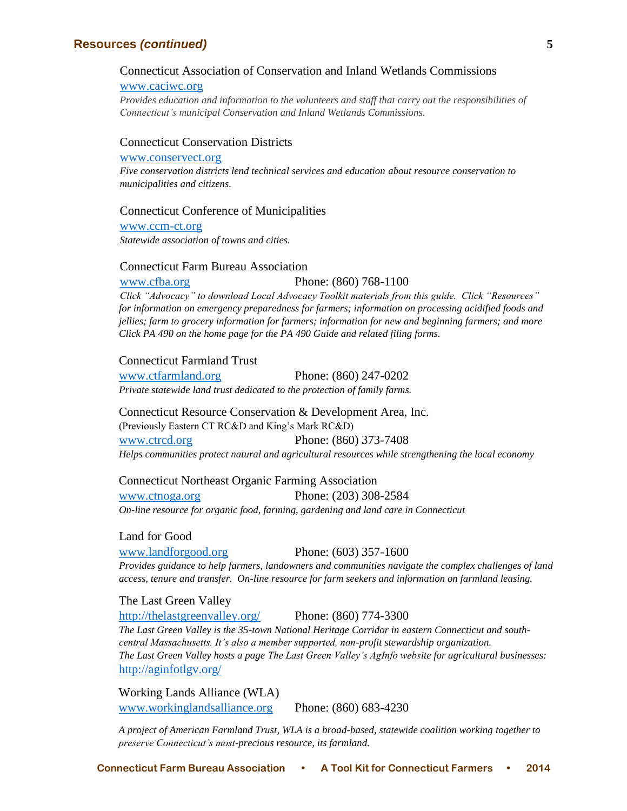## Connecticut Association of Conservation and Inland Wetlands Commissions

#### [www.caciwc.org](http://www.caciwc.org/)

*Provides education and information to the volunteers and staff that carry out the responsibilities of Connecticut's municipal Conservation and Inland Wetlands Commissions.*

#### Connecticut Conservation Districts

#### [www.conservect.org](http://www.conservect.org/)

*Five conservation districts lend technical services and education about resource conservation to municipalities and citizens.*

#### Connecticut Conference of Municipalities

[www.ccm-ct.org](http://www.ccm-ct.org/) *Statewide association of towns and cities.*

#### Connecticut Farm Bureau Association

[www.cfba.org](http://www.cfba.org/) Phone: (860) 768-1100 *Click "Advocacy" to download Local Advocacy Toolkit materials from this guide. Click "Resources" for information on emergency preparedness for farmers; information on processing acidified foods and jellies; farm to grocery information for farmers; information for new and beginning farmers; and more Click PA 490 on the home page for the PA 490 Guide and related filing forms.*

### Connecticut Farmland Trust

[www.ctfarmland.org](http://www.ctfarmland.org/) Phone: (860) 247-0202 *Private statewide land trust dedicated to the protection of family farms.*

Connecticut Resource Conservation & Development Area, Inc. (Previously Eastern CT RC&D and King's Mark RC&D) [www.ctrcd.org](http://www.ctrcd.org/) Phone: (860) 373-7408 *Helps communities protect natural and agricultural resources while strengthening the local economy*

#### Connecticut Northeast Organic Farming Association

[www.ctnoga.org](http://www.ctnoga.org/) Phone: (203) 308-2584 *On-line resource for organic food, farming, gardening and land care in Connecticut*

### Land for Good

[www.landforgood.org](http://www.landforgood.org/) Phone: (603) 357-1600 *Provides guidance to help farmers, landowners and communities navigate the complex challenges of land access, tenure and transfer. On-line resource for farm seekers and information on farmland leasing.*

The Last Green Valley <http://thelastgreenvalley.org/> Phone: (860) 774-3300 *The Last Green Valley is the 35-town National Heritage Corridor in eastern Connecticut and southcentral Massachusetts. It's also a member supported, non-profit stewardship organization. The Last Green Valley hosts a page The Last Green Valley's AgInfo website for agricultural businesses:* <http://aginfotlgv.org/>

Working Lands Alliance (WLA) [www.workinglandsalliance.org](http://www.workinglandsalliance.org/) Phone: (860) 683-4230

*A project of American Farmland Trust, WLA is a broad-based, statewide coalition working together to preserve Connecticut's most-precious resource, its farmland.*